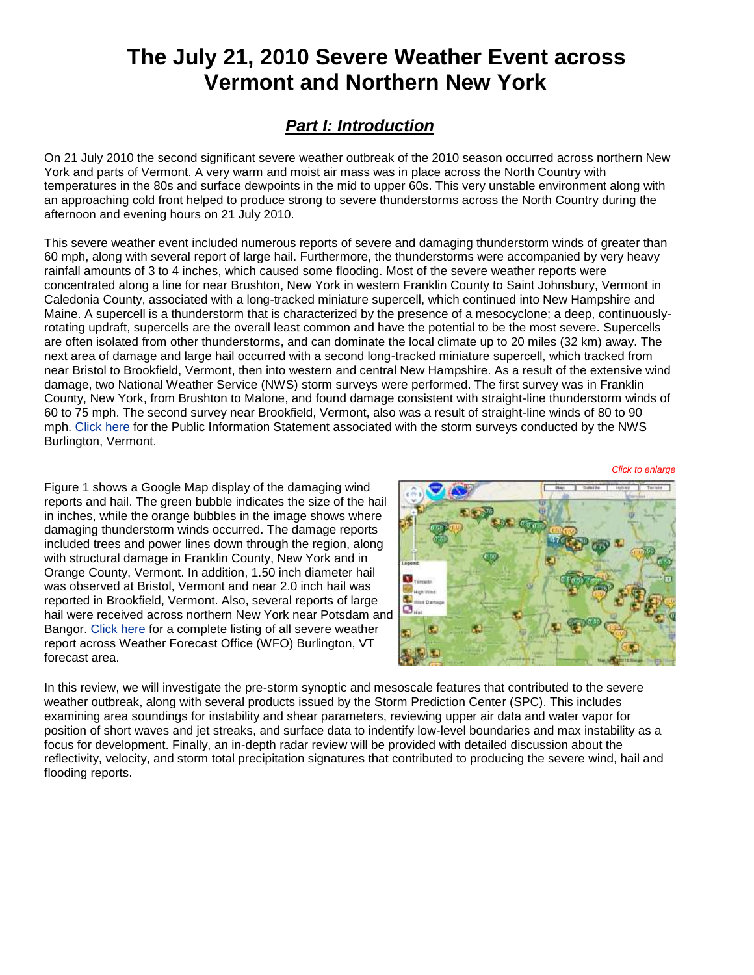# **The July 21, 2010 Severe Weather Event across Vermont and Northern New York**

## *Part I: Introduction*

On 21 July 2010 the second significant severe weather outbreak of the 2010 season occurred across northern New York and parts of Vermont. A very warm and moist air mass was in place across the North Country with temperatures in the 80s and surface dewpoints in the mid to upper 60s. This very unstable environment along with an approaching cold front helped to produce strong to severe thunderstorms across the North Country during the afternoon and evening hours on 21 July 2010.

This severe weather event included numerous reports of severe and damaging thunderstorm winds of greater than 60 mph, along with several report of large hail. Furthermore, the thunderstorms were accompanied by very heavy rainfall amounts of 3 to 4 inches, which caused some flooding. Most of the severe weather reports were concentrated along a line for near Brushton, New York in western Franklin County to Saint Johnsbury, Vermont in Caledonia County, associated with a long-tracked miniature supercell, which continued into New Hampshire and Maine. A supercell is a thunderstorm that is characterized by the presence of a mesocyclone; a deep, continuouslyrotating updraft, supercells are the overall least common and have the potential to be the most severe. Supercells are often isolated from other thunderstorms, and can dominate the local climate up to 20 miles (32 km) away. The next area of damage and large hail occurred with a second long-tracked miniature supercell, which tracked from near Bristol to Brookfield, Vermont, then into western and central New Hampshire. As a result of the extensive wind damage, two National Weather Service (NWS) storm surveys were performed. The first survey was in Franklin County, New York, from Brushton to Malone, and found damage consistent with straight-line thunderstorm winds of 60 to 75 mph. The second survey near Brookfield, Vermont, also was a result of straight-line winds of 80 to 90 mph. [Click here](http://www.weather.gov/media/btv/events/21Jul2010/PNS.pdf) for the Public Information Statement associated with the storm surveys conducted by the NWS Burlington, Vermont.

Figure 1 shows a Google Map display of the damaging wind reports and hail. The green bubble indicates the size of the hail in inches, while the orange bubbles in the image shows where damaging thunderstorm winds occurred. The damage reports included trees and power lines down through the region, along with structural damage in Franklin County, New York and in Orange County, Vermont. In addition, 1.50 inch diameter hail was observed at Bristol, Vermont and near 2.0 inch hail was reported in Brookfield, Vermont. Also, several reports of large hail were received across northern New York near Potsdam and Bangor. [Click here](http://www.weather.gov/media/btv/events/21Jul2010/Summary_LSR.pdf) for a complete listing of all severe weather report across Weather Forecast Office (WFO) Burlington, VT forecast area.



*Click to enlarge*

In this review, we will investigate the pre-storm synoptic and mesoscale features that contributed to the severe weather outbreak, along with several products issued by the Storm Prediction Center (SPC). This includes examining area soundings for instability and shear parameters, reviewing upper air data and water vapor for position of short waves and jet streaks, and surface data to indentify low-level boundaries and max instability as a focus for development. Finally, an in-depth radar review will be provided with detailed discussion about the reflectivity, velocity, and storm total precipitation signatures that contributed to producing the severe wind, hail and flooding reports.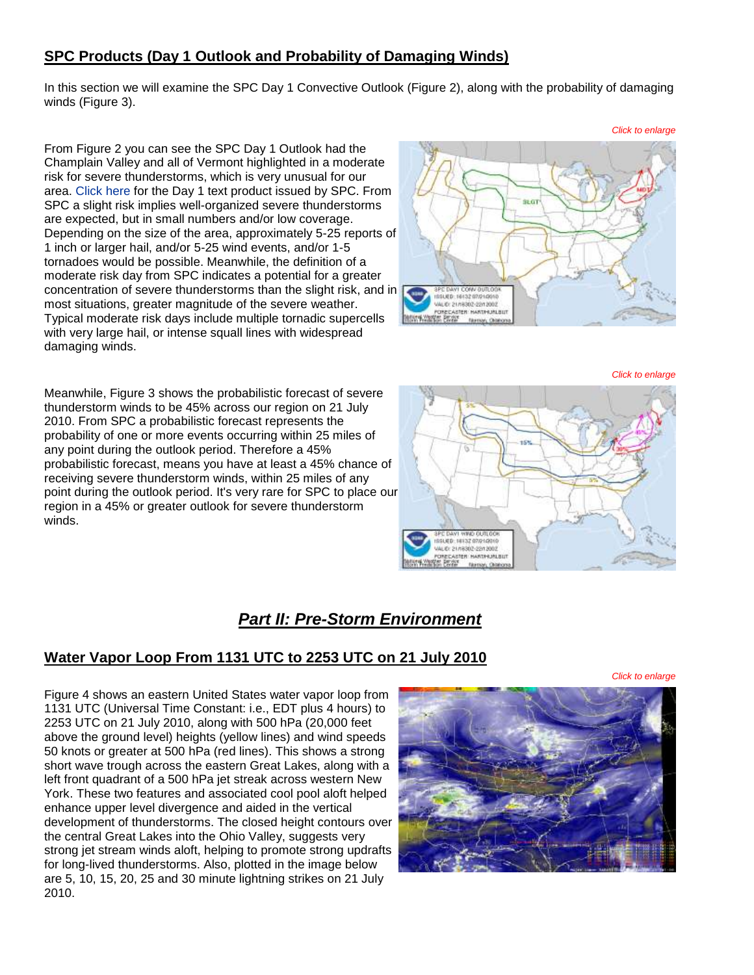### **SPC Products (Day 1 Outlook and Probability of Damaging Winds)**

In this section we will examine the SPC Day 1 Convective Outlook (Figure 2), along with the probability of damaging winds (Figure 3).

From Figure 2 you can see the SPC Day 1 Outlook had the Champlain Valley and all of Vermont highlighted in a moderate risk for severe thunderstorms, which is very unusual for our area. [Click here](http://www.weather.gov/media/btv/events/21Jul2010/SWODY1.pdf) for the Day 1 text product issued by SPC. From SPC a slight risk implies well-organized severe thunderstorms are expected, but in small numbers and/or low coverage. Depending on the size of the area, approximately 5-25 reports of 1 inch or larger hail, and/or 5-25 wind events, and/or 1-5 tornadoes would be possible. Meanwhile, the definition of a moderate risk day from SPC indicates a potential for a greater concentrationof severe thunderstorms than the slight risk, and in most situations, greater magnitude of the severe weather. Typical moderate risk days include multiple tornadic supercells with very large hail, or intense squall lines with widespread damaging winds.



Meanwhile, Figure 3 shows the probabilistic forecast of severe thunderstorm winds to be 45% across our region on 21 July 2010. From SPC a probabilistic forecast represents the probability of one or more events occurring within 25 miles of any point during the outlook period. Therefore a 45% probabilistic forecast, means you have at least a 45% chance of receiving severe thunderstorm winds, within 25 miles of any point during the outlook period. It's very rare for SPC to place our region in a 45% or greater outlook for severe thunderstorm winds.



### *Part II: Pre-Storm Environment*

### **Water Vapor Loop From 1131 UTC to 2253 UTC on 21 July 2010**

*Click to enlarge*

Figure 4 shows an eastern United States water vapor loop from 1131 UTC (Universal Time Constant: i.e., EDT plus 4 hours) to 2253 UTC on 21 July 2010, along with 500 hPa (20,000 feet above the ground level) heights (yellow lines) and wind speeds 50 knots or greater at 500 hPa (red lines). This shows a strong short wave trough across the eastern Great Lakes, along with a left front quadrant of a 500 hPa jet streak across western New York. These two features and associated cool pool aloft helped enhance upper level divergence and aided in the vertical development of thunderstorms. The closed height contours over the central Great Lakes into the Ohio Valley, suggests very strong jet stream winds aloft, helping to promote strong updrafts for long-lived thunderstorms. Also, plotted in the image below are 5, 10, 15, 20, 25 and 30 minute lightning strikes on 21 July 2010.

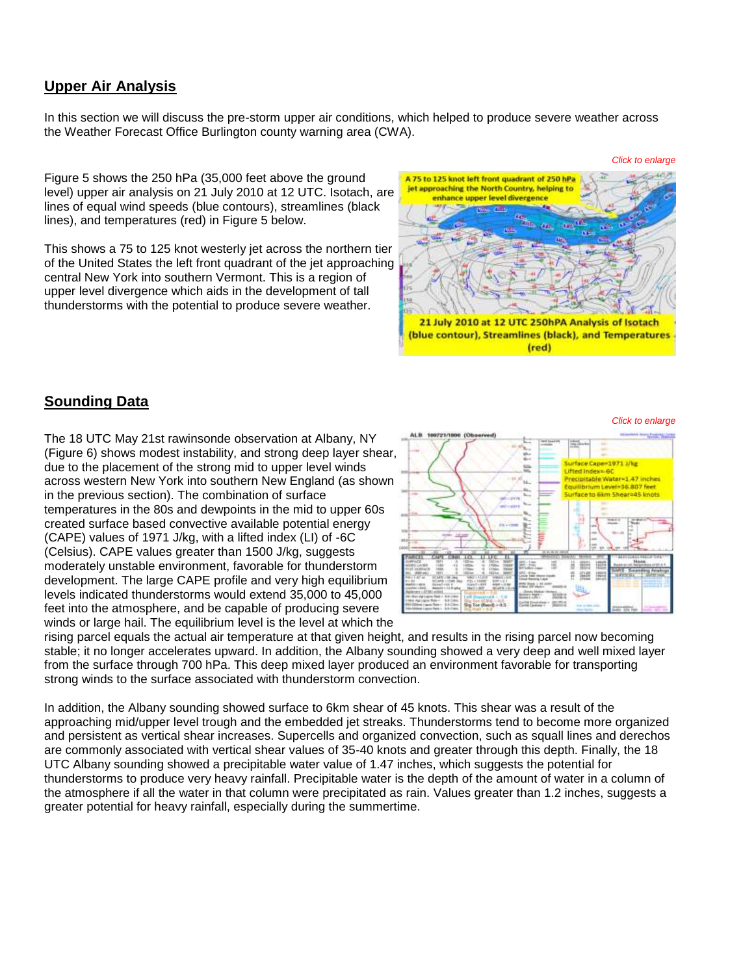### **Upper Air Analysis**

In this section we will discuss the pre-storm upper air conditions, which helped to produce severe weather across the Weather Forecast Office Burlington county warning area (CWA).

Figure 5 shows the 250 hPa (35,000 feet above the ground level) upper air analysis on 21 July 2010 at 12 UTC. Isotach, are lines of equal wind speeds (blue contours), streamlines (black lines), and temperatures (red) in Figure 5 below.

This shows a 75 to 125 knot westerly jet across the northern tier of the United States the left front quadrant of the jet approaching central New York into southern Vermont. This is a region of upper level divergence which aids in the development of tall thunderstorms with the potential to produce severe weather.



### **Sounding Data**

The 18 UTC May 21st rawinsonde observation at Albany, NY (Figure 6) shows modest instability, and strong deep layer shear, due to the placement of the strong mid to upper level winds across western New York into southern New England (as shown in the previous section). The combination of surface temperatures in the 80s and dewpoints in the mid to upper 60s created surface based convective available potential energy (CAPE) values of 1971 J/kg, with a lifted index (LI) of -6C (Celsius). CAPE values greater than 1500 J/kg, suggests moderately unstable environment, favorable for thunderstorm development. The large CAPE profile and very high equilibrium levels indicated thunderstorms would extend 35,000 to 45,000 feet into the atmosphere, and be capable of producing severe winds or large hail. The equilibrium level is the level at which the



rising parcel equals the actual air temperature at that given height, and results in the rising parcel now becoming stable; it no longer accelerates upward. In addition, the Albany sounding showed a very deep and well mixed layer from the surface through 700 hPa. This deep mixed layer produced an environment favorable for transporting strong winds to the surface associated with thunderstorm convection.

In addition, the Albany sounding showed surface to 6km shear of 45 knots. This shear was a result of the approaching mid/upper level trough and the embedded jet streaks. Thunderstorms tend to become more organized and persistent as vertical shear increases. Supercells and organized convection, such as squall lines and derechos are commonly associated with vertical shear values of 35-40 knots and greater through this depth. Finally, the 18 UTC Albany sounding showed a precipitable water value of 1.47 inches, which suggests the potential for thunderstorms to produce very heavy rainfall. Precipitable water is the depth of the amount of water in a column of the atmosphere if all the water in that column were precipitated as rain. Values greater than 1.2 inches, suggests a greater potential for heavy rainfall, especially during the summertime.

#### *Click to enlarge*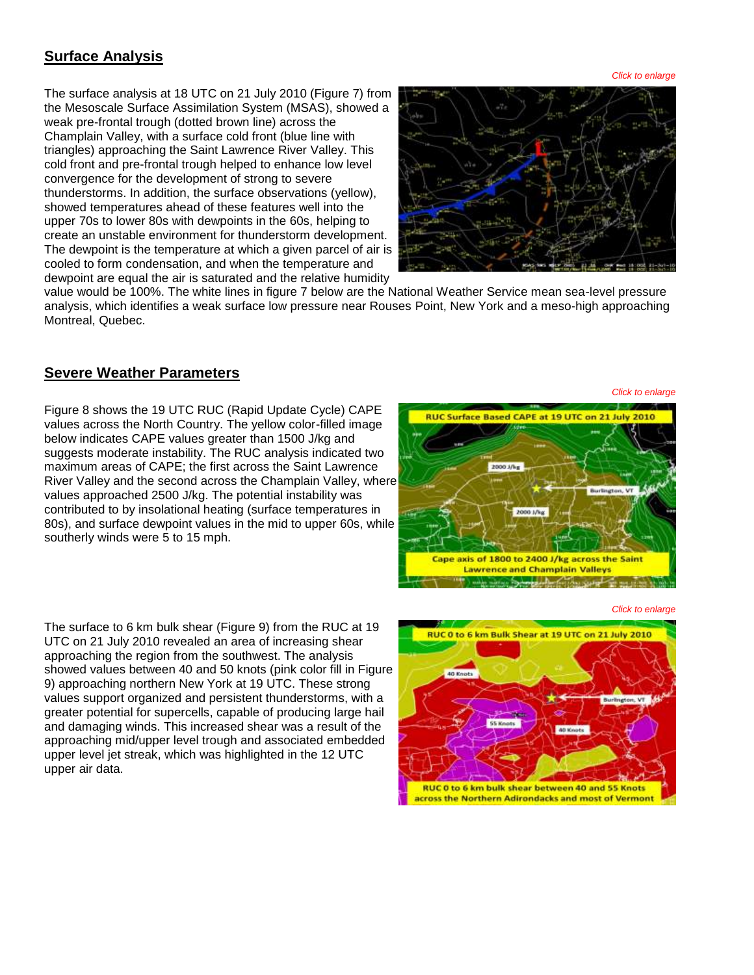### **Surface Analysis**

The surface analysis at 18 UTC on 21 July 2010 (Figure 7) from the Mesoscale Surface Assimilation System (MSAS), showed a weak pre-frontal trough (dotted brown line) across the Champlain Valley, with a surface cold front (blue line with triangles) approaching the Saint Lawrence River Valley. This cold front and pre-frontal trough helped to enhance low level convergence for the development of strong to severe thunderstorms. In addition, the surface observations (yellow), showed temperatures ahead of these features well into the upper 70s to lower 80s with dewpoints in the 60s, helping to create an unstable environment for thunderstorm development. The dewpoint is the temperature at which a given parcel of air is cooled to form condensation, and when the temperature and dewpoint are equal the air is saturated and the relative humidity



value would be 100%. The white lines in figure 7 below are the National Weather Service mean sea-level pressure analysis, which identifies a weak surface low pressure near Rouses Point, New York and a meso-high approaching Montreal, Quebec.

#### **Severe Weather Parameters**

Figure 8 shows the 19 UTC RUC (Rapid Update Cycle) CAPE values across the North Country. The yellow color-filled image below indicates CAPE values greater than 1500 J/kg and suggests moderate instability. The RUC analysis indicated two maximum areas of CAPE; the first across the Saint Lawrence River Valley and the second across the Champlain Valley, where values approached 2500 J/kg. The potential instability was contributed to by insolational heating (surface temperatures in 80s), and surface dewpoint values in the mid to upper 60s, while southerly winds were 5 to 15 mph.



*Click to enlarge*

The surface to 6 km bulk shear (Figure 9) from the RUC at 19 UTC on 21 July 2010 revealed an area of increasing shear approaching the region from the southwest. The analysis showed values between 40 and 50 knots (pink color fill in Figure 9) approaching northern New York at 19 UTC. These strong values support organized and persistent thunderstorms, with a greater potential for supercells, capable of producing large hail and damaging winds. This increased shear was a result of the approaching mid/upper level trough and associated embedded upper level jet streak, which was highlighted in the 12 UTC upper air data.



*Click to enlarge*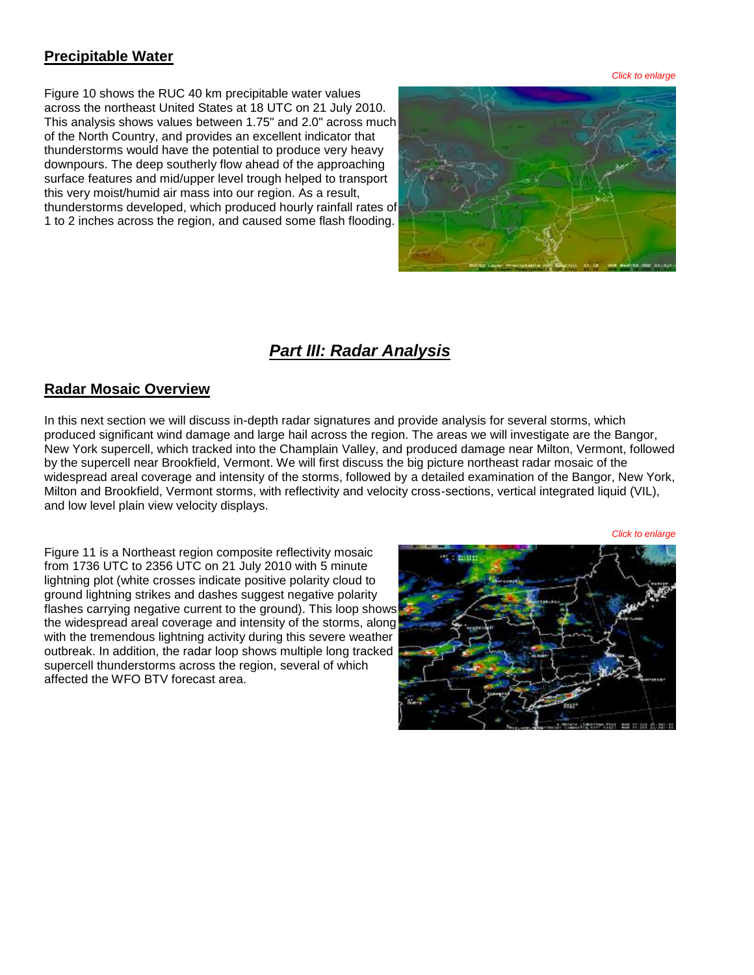### **Precipitable Water**

Figure 10 shows the RUC 40 km precipitable water values across the northeast United States at 18 UTC on 21 July 2010. This analysis shows values between 1.75" and 2.0" across much of the North Country, and provides an excellent indicator that thunderstorms would have the potential to produce very heavy downpours. The deep southerly flow ahead of the approaching surface features and mid/upper level trough helped to transport this very moist/humid air mass into our region. As a result, thunderstorms developed, which produced hourly rainfall rates of 1 to 2 inches across the region, and caused some flash flooding.



*Click to enlarge*

## *Part III: Radar Analysis*

### **Radar Mosaic Overview**

In this next section we will discuss in-depth radar signatures and provide analysis for several storms, which produced significant wind damage and large hail across the region. The areas we will investigate are the Bangor, New York supercell, which tracked into the Champlain Valley, and produced damage near Milton, Vermont, followed by the supercell near Brookfield, Vermont. We will first discuss the big picture northeast radar mosaic of the widespread areal coverage and intensity of the storms, followed by a detailed examination of the Bangor, New York, Milton and Brookfield, Vermont storms, with reflectivity and velocity cross-sections, vertical integrated liquid (VIL), and low level plain view velocity displays.

Figure 11 is a Northeast region composite reflectivity mosaic from 1736 UTC to 2356 UTC on 21 July 2010 with 5 minute lightning plot (white crosses indicate positive polarity cloud to ground lightning strikes and dashes suggest negative polarity flashes carrying negative current to the ground). This loop shows the widespread areal coverage and intensity of the storms, along with the tremendous lightning activity during this severe weather outbreak. In addition, the radar loop shows multiple long tracked supercell thunderstorms across the region, several of which affected the WFO BTV forecast area.

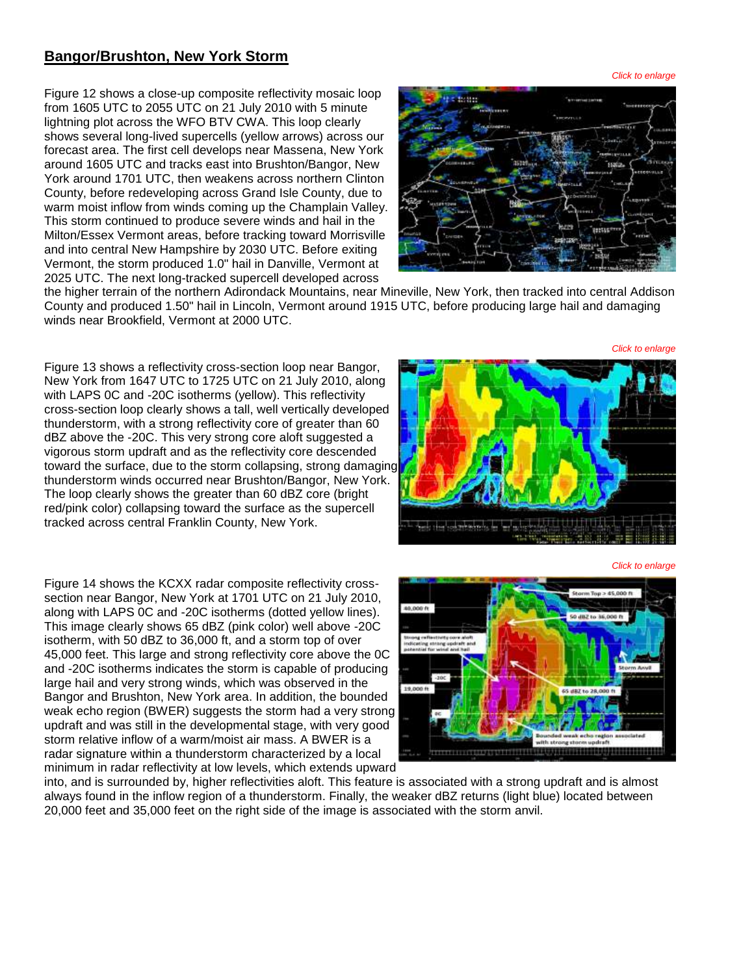### **Bangor/Brushton, New York Storm**

Figure 12 shows a close-up composite reflectivity mosaic loop from 1605 UTC to 2055 UTC on 21 July 2010 with 5 minute lightning plot across the WFO BTV CWA. This loop clearly shows several long-lived supercells (yellow arrows) across our forecast area. The first cell develops near Massena, New York around 1605 UTC and tracks east into Brushton/Bangor, New York around 1701 UTC, then weakens across northern Clinton County, before redeveloping across Grand Isle County, due to warm moist inflow from winds coming up the Champlain Valley. This storm continued to produce severe winds and hail in the Milton/Essex Vermont areas, before tracking toward Morrisville and into central New Hampshire by 2030 UTC. Before exiting Vermont, the storm produced 1.0" hail in Danville, Vermont at 2025 UTC. The next long-tracked supercell developed across

*Click to enlarge*

the higher terrain of the northern Adirondack Mountains, near Mineville, New York, then tracked into central Addison County and produced 1.50" hail in Lincoln, Vermont around 1915 UTC, before producing large hail and damaging winds near Brookfield, Vermont at 2000 UTC.

Figure 13 shows a reflectivity cross-section loop near Bangor, New York from 1647 UTC to 1725 UTC on 21 July 2010, along with LAPS 0C and -20C isotherms (yellow). This reflectivity cross-section loop clearly shows a tall, well vertically developed thunderstorm, with a strong reflectivity core of greater than 60 dBZ above the -20C. This very strong core aloft suggested a vigorous storm updraft and as the reflectivity core descended toward the surface, due to the storm collapsing, strong damaging thunderstorm winds occurred near Brushton/Bangor, New York. The loop clearly shows the greater than 60 dBZ core (bright red/pink color) collapsing toward the surface as the supercell tracked across central Franklin County, New York.



Figure 14 shows the KCXX radar composite reflectivity crosssection near Bangor, New York at 1701 UTC on 21 July 2010, along with LAPS 0C and -20C isotherms (dotted yellow lines). This image clearly shows 65 dBZ (pink color) well above -20C isotherm, with 50 dBZ to 36,000 ft, and a storm top of over 45,000 feet. This large and strong reflectivity core above the 0C and -20C isotherms indicates the storm is capable of producing large hail and very strong winds, which was observed in the Bangor and Brushton, New York area. In addition, the bounded weak echo region (BWER) suggests the storm had a very strong updraft and was still in the developmental stage, with very good storm relative inflow of a warm/moist air mass. A BWER is a radar signature within a thunderstorm characterized by a local minimum in radar reflectivity at low levels, which extends upward



into, and is surrounded by, higher reflectivities aloft. This feature is associated with a strong updraft and is almost always found in the inflow region of a thunderstorm. Finally, the weaker dBZ returns (light blue) located between 20,000 feet and 35,000 feet on the right side of the image is associated with the storm anvil.

*Click to enlarge*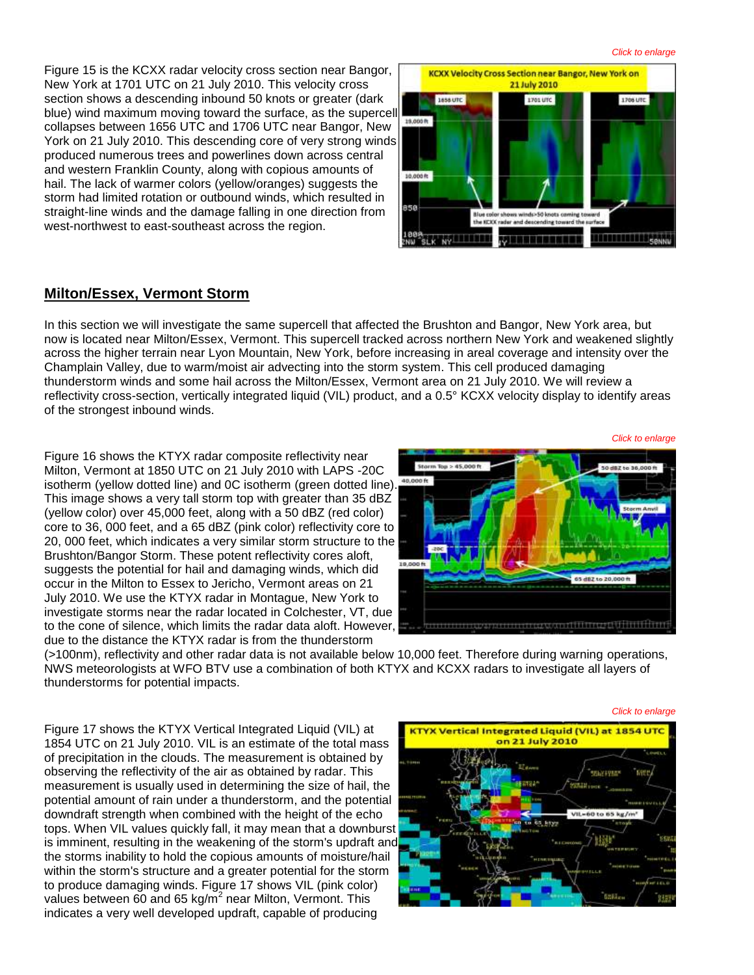*Click to enlarge*

Figure 15 is the KCXX radar velocity cross section near Bangor, New York at 1701 UTC on 21 July 2010. This velocity cross section shows a descending inbound 50 knots or greater (dark blue) wind maximum moving toward the surface, as the supercell collapses between 1656 UTC and 1706 UTC near Bangor, New York on 21 July 2010. This descending core of very strong winds produced numerous trees and powerlines down across central and western Franklin County, along with copious amounts of hail. The lack of warmer colors (yellow/oranges) suggests the storm had limited rotation or outbound winds, which resulted in straight-line winds and the damage falling in one direction from west-northwest to east-southeast across the region.



#### **Milton/Essex, Vermont Storm**

In this section we will investigate the same supercell that affected the Brushton and Bangor, New York area, but now is located near Milton/Essex, Vermont. This supercell tracked across northern New York and weakened slightly across the higher terrain near Lyon Mountain, New York, before increasing in areal coverage and intensity over the Champlain Valley, due to warm/moist air advecting into the storm system. This cell produced damaging thunderstorm winds and some hail across the Milton/Essex, Vermont area on 21 July 2010. We will review a reflectivity cross-section, vertically integrated liquid (VIL) product, and a 0.5° KCXX velocity display to identify areas of the strongest inbound winds.

Figure 16 shows the KTYX radar composite reflectivity near Milton, Vermont at 1850 UTC on 21 July 2010 with LAPS -20C isotherm (yellow dotted line) and 0C isotherm (green dotted line). This image shows a very tall storm top with greater than 35 dBZ (yellow color) over 45,000 feet, along with a 50 dBZ (red color) core to 36, 000 feet, and a 65 dBZ (pink color) reflectivity core to 20, 000 feet, which indicates a very similar storm structure to the Brushton/Bangor Storm. These potent reflectivity cores aloft, suggests the potential for hail and damaging winds, which did occur in the Milton to Essex to Jericho, Vermont areas on 21 July 2010. We use the KTYX radar in Montague, New York to investigate storms near the radar located in Colchester, VT, due to the cone of silence, which limits the radar data aloft. However, due to the distance the KTYX radar is from the thunderstorm



(>100nm), reflectivity and other radar data is not available below 10,000 feet. Therefore during warning operations, NWS meteorologists at WFO BTV use a combination of both KTYX and KCXX radars to investigate all layers of thunderstorms for potential impacts.

Figure 17 shows the KTYX Vertical Integrated Liquid (VIL) at 1854 UTC on 21 July 2010. VIL is an estimate of the total mass of precipitation in the clouds. The measurement is obtained by observing the reflectivity of the air as obtained by radar. This measurement is usually used in determining the size of hail, the potential amount of rain under a thunderstorm, and the potential downdraft strength when combined with the height of the echo tops. When VIL values quickly fall, it may mean that a downburst is imminent, resulting in the weakening of the storm's updraft and the storms inability to hold the copious amounts of moisture/hail within the storm's structure and a greater potential for the storm to produce damaging winds. Figure 17 shows VIL (pink color) values between 60 and 65 kg/m<sup>2</sup> near Milton, Vermont. This indicates a very well developed updraft, capable of producing



*Click to enlarge*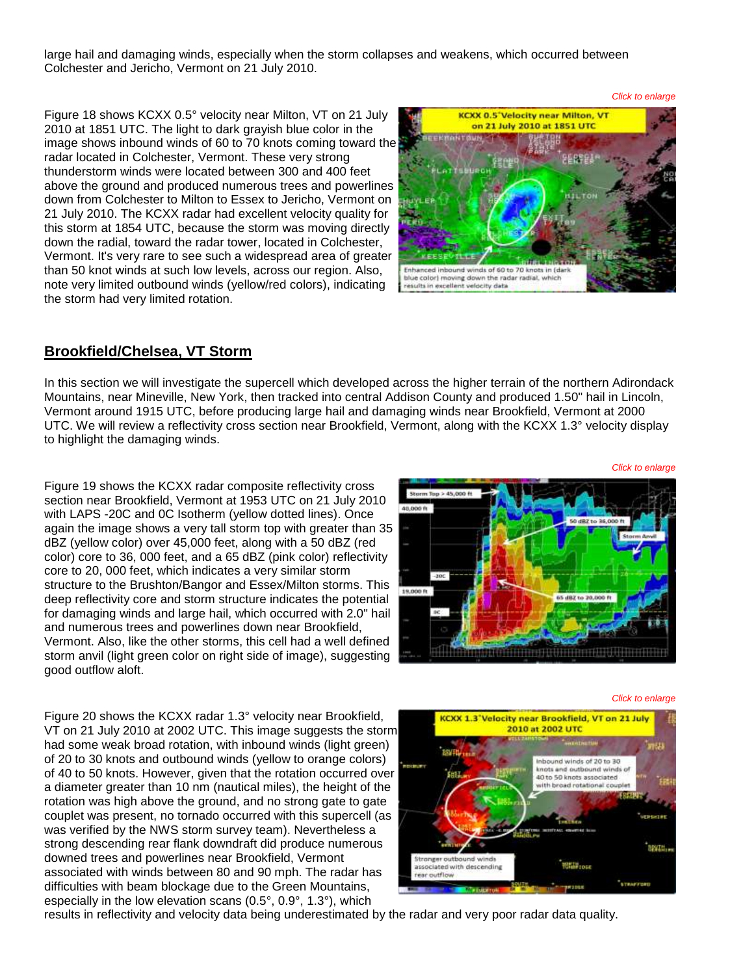large hail and damaging winds, especially when the storm collapses and weakens, which occurred between Colchester and Jericho, Vermont on 21 July 2010.

Figure 18 shows KCXX 0.5° velocity near Milton, VT on 21 July 2010 at 1851 UTC. The light to dark grayish blue color in the image shows inbound winds of 60 to 70 knots coming toward the radar located in Colchester, Vermont. These very strong thunderstorm winds were located between 300 and 400 feet above the ground and produced numerous trees and powerlines down from Colchester to Milton to Essex to Jericho, Vermont on 21 July 2010. The KCXX radar had excellent velocity quality for this storm at 1854 UTC, because the storm was moving directly down the radial, toward the radar tower, located in Colchester, Vermont. It's very rare to see such a widespread area of greater than 50 knot winds at such low levels, across our region. Also, note very limited outbound winds (yellow/red colors), indicating the storm had very limited rotation.



#### **Brookfield/Chelsea, VT Storm**

In this section we will investigate the supercell which developed across the higher terrain of the northern Adirondack Mountains, near Mineville, New York, then tracked into central Addison County and produced 1.50" hail in Lincoln, Vermont around 1915 UTC, before producing large hail and damaging winds near Brookfield, Vermont at 2000 UTC. We will review a reflectivity cross section near Brookfield, Vermont, along with the KCXX 1.3° velocity display to highlight the damaging winds.

Figure 19 shows the KCXX radar composite reflectivity cross section near Brookfield, Vermont at 1953 UTC on 21 July 2010 with LAPS -20C and 0C Isotherm (yellow dotted lines). Once again the image shows a very tall storm top with greater than 35 dBZ (yellow color) over 45,000 feet, along with a 50 dBZ (red color) core to 36, 000 feet, and a 65 dBZ (pink color) reflectivity core to 20, 000 feet, which indicates a very similar storm structure to the Brushton/Bangor and Essex/Milton storms. This deep reflectivity core and storm structure indicates the potential for damaging winds and large hail, which occurred with 2.0" hail and numerous trees and powerlines down near Brookfield, Vermont. Also, like the other storms, this cell had a well defined storm anvil (light green color on right side of image), suggesting good outflow aloft.



*Click to enlarge*

*Click to enlarge*

Figure 20 shows the KCXX radar 1.3° velocity near Brookfield, VT on 21 July 2010 at 2002 UTC. This image suggests the storm had some weak broad rotation, with inbound winds (light green) of 20 to 30 knots and outbound winds (yellow to orange colors) of 40 to 50 knots. However, given that the rotation occurred over a diameter greater than 10 nm (nautical miles), the height of the rotation was high above the ground, and no strong gate to gate couplet was present, no tornado occurred with this supercell (as was verified by the NWS storm survey team). Nevertheless a strong descending rear flank downdraft did produce numerous downed trees and powerlines near Brookfield, Vermont associated with winds between 80 and 90 mph. The radar has difficulties with beam blockage due to the Green Mountains, especially in the low elevation scans (0.5°, 0.9°, 1.3°), which



results in reflectivity and velocity data being underestimated by the radar and very poor radar data quality.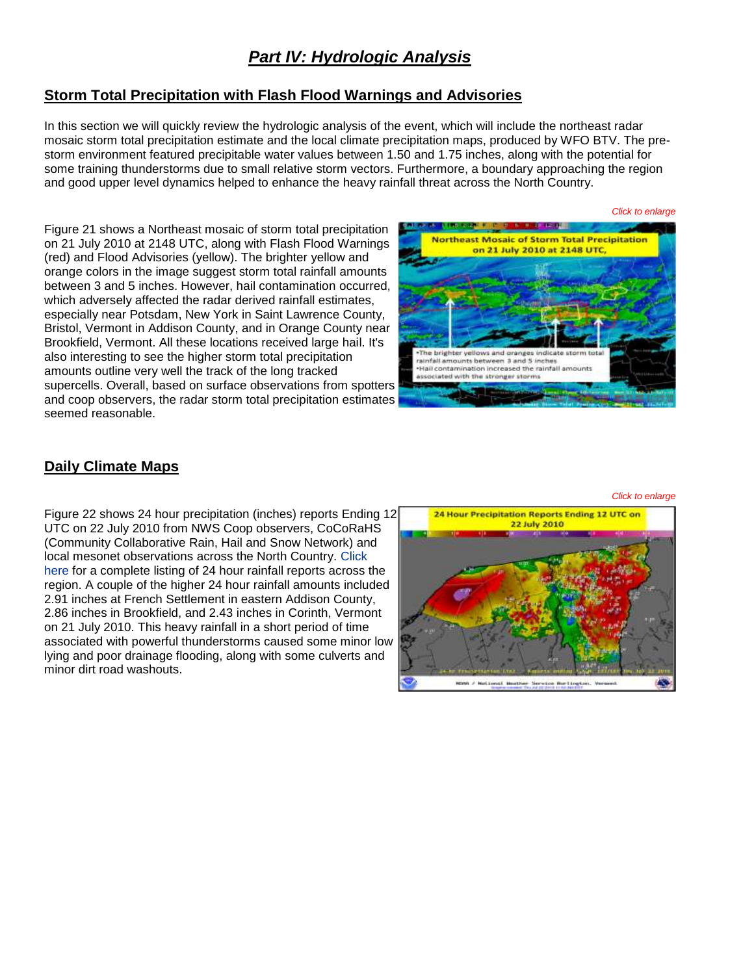## *Part IV: Hydrologic Analysis*

### **Storm Total Precipitation with Flash Flood Warnings and Advisories**

In this section we will quickly review the hydrologic analysis of the event, which will include the northeast radar mosaic storm total precipitation estimate and the local climate precipitation maps, produced by WFO BTV. The prestorm environment featured precipitable water values between 1.50 and 1.75 inches, along with the potential for some training thunderstorms due to small relative storm vectors. Furthermore, a boundary approaching the region and good upper level dynamics helped to enhance the heavy rainfall threat across the North Country.

Figure 21 shows a Northeast mosaic of storm total precipitation on 21 July 2010 at 2148 UTC, along with Flash Flood Warnings (red) and Flood Advisories (yellow). The brighter yellow and orange colors in the image suggest storm total rainfall amounts between 3 and 5 inches. However, hail contamination occurred, which adversely affected the radar derived rainfall estimates, especially near Potsdam, New York in Saint Lawrence County, Bristol, Vermont in Addison County, and in Orange County near Brookfield, Vermont. All these locations received large hail. It's also interesting to see the higher storm total precipitation amounts outline very well the track of the long tracked supercells. Overall, based on surface observations from spotters and coop observers, the radar storm total precipitation estimates seemed reasonable.



### **Daily Climate Maps**

Figure 22 shows 24 hour precipitation (inches) reports Ending 12 UTC on 22 July 2010 from NWS Coop observers, CoCoRaHS (Community Collaborative Rain, Hail and Snow Network) and local mesonet observations across the North Country. [Click](http://www.weather.gov/media/btv/events/21Jul2010/Rainfall_reports.pdf)  [here](http://www.weather.gov/media/btv/events/21Jul2010/Rainfall_reports.pdf) for a complete listing of 24 hour rainfall reports across the region. A couple of the higher 24 hour rainfall amounts included 2.91 inches at French Settlement in eastern Addison County, 2.86 inches in Brookfield, and 2.43 inches in Corinth, Vermont on 21 July 2010. This heavy rainfall in a short period of time associated with powerful thunderstorms caused some minor low lying and poor drainage flooding, along with some culverts and minor dirt road washouts.

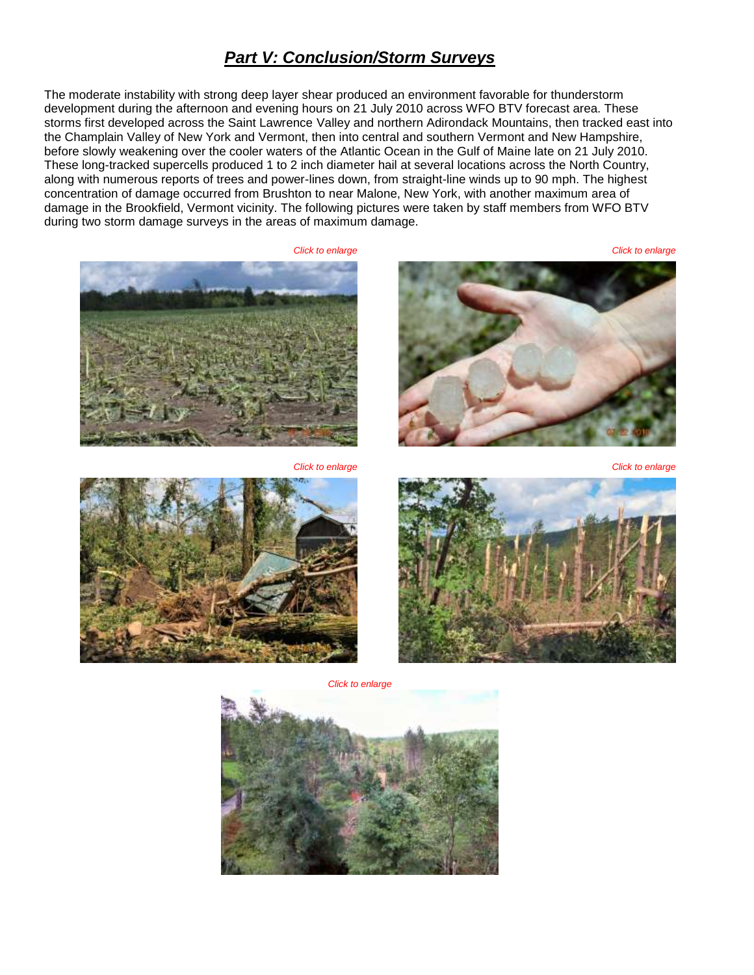### *Part V: Conclusion/Storm Surveys*

The moderate instability with strong deep layer shear produced an environment favorable for thunderstorm development during the afternoon and evening hours on 21 July 2010 across WFO BTV forecast area. These storms first developed across the Saint Lawrence Valley and northern Adirondack Mountains, then tracked east into the Champlain Valley of New York and Vermont, then into central and southern Vermont and New Hampshire, before slowly weakening over the cooler waters of the Atlantic Ocean in the Gulf of Maine late on 21 July 2010. These long-tracked supercells produced 1 to 2 inch diameter hail at several locations across the North Country, along with numerous reports of trees and power-lines down, from straight-line winds up to 90 mph. The highest concentration of damage occurred from Brushton to near Malone, New York, with another maximum area of damage in the Brookfield, Vermont vicinity. The following pictures were taken by staff members from WFO BTV during two storm damage surveys in the areas of maximum damage.

*Click to enlarge Click to enlarge*





*Click to enlarge Click to enlarge*